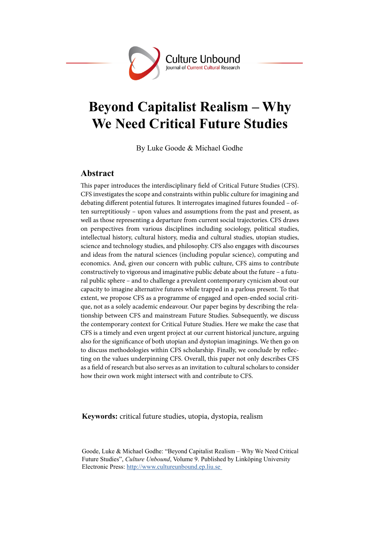

# **Beyond Capitalist Realism – Why We Need Critical Future Studies**

By Luke Goode & Michael Godhe

# **Abstract**

This paper introduces the interdisciplinary field of Critical Future Studies (CFS). CFS investigates the scope and constraints within public culture for imagining and debating diferent potential futures. It interrogates imagined futures founded – often surreptitiously – upon values and assumptions from the past and present, as well as those representing a departure from current social trajectories. CFS draws on perspectives from various disciplines including sociology, political studies, intellectual history, cultural history, media and cultural studies, utopian studies, science and technology studies, and philosophy. CFS also engages with discourses and ideas from the natural sciences (including popular science), computing and economics. And, given our concern with public culture, CFS aims to contribute constructively to vigorous and imaginative public debate about the future – a futural public sphere – and to challenge a prevalent contemporary cynicism about our capacity to imagine alternative futures while trapped in a parlous present. To that extent, we propose CFS as a programme of engaged and open-ended social critique, not as a solely academic endeavour. Our paper begins by describing the relationship between CFS and mainstream Future Studies. Subsequently, we discuss the contemporary context for Critical Future Studies. Here we make the case that CFS is a timely and even urgent project at our current historical juncture, arguing also for the signifcance of both utopian and dystopian imaginings. We then go on to discuss methodologies within CFS scholarship. Finally, we conclude by refecting on the values underpinning CFS. Overall, this paper not only describes CFS as a feld of research but also serves as an invitation to cultural scholars to consider how their own work might intersect with and contribute to CFS.

**Keywords:** critical future studies, utopia, dystopia, realism

Goode, Luke & Michael Godhe: "Beyond Capitalist Realism – Why We Need Critical Future Studies", *Culture Unbound*, Volume 9. Published by Linköping University Electronic Press: http://www.cultureunbound.ep.liu.se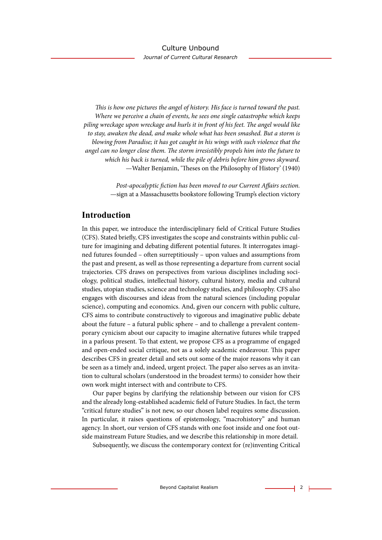T*is is how one pictures the angel of history. His face is turned toward the past. Where we perceive a chain of events, he sees one single catastrophe which keeps piling wreckage upon wreckage and hurls it in front of his feet.* T*e angel would like to stay, awaken the dead, and make whole what has been smashed. But a storm is blowing from Paradise; it has got caught in his wings with such violence that the angel can no longer close them.* T*e storm irresistibly propels him into the future to which his back is turned, while the pile of debris before him grows skyward.* —Walter Benjamin, 'Theses on the Philosophy of History' (1940)

> *Post-apocalyptic* f*ction has been moved to our Current A*f*airs section.* —sign at a Massachusetts bookstore following Trump's election victory

# **Introduction**

In this paper, we introduce the interdisciplinary feld of Critical Future Studies (CFS). Stated briefy, CFS investigates the scope and constraints within public culture for imagining and debating diferent potential futures. It interrogates imagined futures founded - often surreptitiously - upon values and assumptions from the past and present, as well as those representing a departure from current social trajectories. CFS draws on perspectives from various disciplines including sociology, political studies, intellectual history, cultural history, media and cultural studies, utopian studies, science and technology studies, and philosophy. CFS also engages with discourses and ideas from the natural sciences (including popular science), computing and economics. And, given our concern with public culture, CFS aims to contribute constructively to vigorous and imaginative public debate about the future – a futural public sphere – and to challenge a prevalent contemporary cynicism about our capacity to imagine alternative futures while trapped in a parlous present. To that extent, we propose CFS as a programme of engaged and open-ended social critique, not as a solely academic endeavour. This paper describes CFS in greater detail and sets out some of the major reasons why it can be seen as a timely and, indeed, urgent project. The paper also serves as an invitation to cultural scholars (understood in the broadest terms) to consider how their own work might intersect with and contribute to CFS.

Our paper begins by clarifying the relationship between our vision for CFS and the already long-established academic feld of Future Studies. In fact, the term "critical future studies" is not new, so our chosen label requires some discussion. In particular, it raises questions of epistemology, "macrohistory" and human agency. In short, our version of CFS stands with one foot inside and one foot outside mainstream Future Studies, and we describe this relationship in more detail.

Subsequently, we discuss the contemporary context for (re)inventing Critical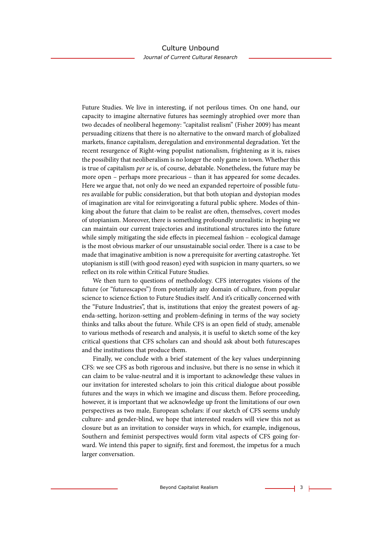Future Studies. We live in interesting, if not perilous times. On one hand, our capacity to imagine alternative futures has seemingly atrophied over more than two decades of neoliberal hegemony: "capitalist realism" (Fisher 2009) has meant persuading citizens that there is no alternative to the onward march of globalized markets, fnance capitalism, deregulation and environmental degradation. Yet the recent resurgence of Right-wing populist nationalism, frightening as it is, raises the possibility that neoliberalism is no longer the only game in town. Whether this is true of capitalism *per se* is, of course, debatable. Nonetheless, the future may be more open – perhaps more precarious – than it has appeared for some decades. Here we argue that, not only do we need an expanded repertoire of possible futures available for public consideration, but that both utopian and dystopian modes of imagination are vital for reinvigorating a futural public sphere. Modes of thinking about the future that claim to be realist are often, themselves, covert modes of utopianism. Moreover, there is something profoundly unrealistic in hoping we can maintain our current trajectories and institutional structures into the future while simply mitigating the side effects in piecemeal fashion – ecological damage is the most obvious marker of our unsustainable social order. There is a case to be made that imaginative ambition is now a prerequisite for averting catastrophe. Yet utopianism is still (with good reason) eyed with suspicion in many quarters, so we refect on its role within Critical Future Studies.

We then turn to questions of methodology. CFS interrogates visions of the future (or "futurescapes") from potentially any domain of culture, from popular science to science fction to Future Studies itself. And it's critically concerned with the "Future Industries", that is, institutions that enjoy the greatest powers of agenda-setting, horizon-setting and problem-defning in terms of the way society thinks and talks about the future. While CFS is an open feld of study, amenable to various methods of research and analysis, it is useful to sketch some of the key critical questions that CFS scholars can and should ask about both futurescapes and the institutions that produce them.

Finally, we conclude with a brief statement of the key values underpinning CFS: we see CFS as both rigorous and inclusive, but there is no sense in which it can claim to be value-neutral and it is important to acknowledge these values in our invitation for interested scholars to join this critical dialogue about possible futures and the ways in which we imagine and discuss them. Before proceeding, however, it is important that we acknowledge up front the limitations of our own perspectives as two male, European scholars: if our sketch of CFS seems unduly culture- and gender-blind, we hope that interested readers will view this not as closure but as an invitation to consider ways in which, for example, indigenous, Southern and feminist perspectives would form vital aspects of CFS going forward. We intend this paper to signify, frst and foremost, the impetus for a much larger conversation.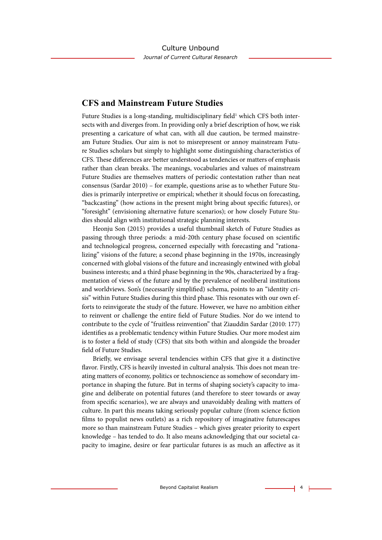# **CFS and Mainstream Future Studies**

Future Studies is a long-standing, multidisciplinary field<sup>1</sup> which CFS both intersects with and diverges from. In providing only a brief description of how, we risk presenting a caricature of what can, with all due caution, be termed mainstream Future Studies. Our aim is not to misrepresent or annoy mainstream Future Studies scholars but simply to highlight some distinguishing characteristics of CFS. These differences are better understood as tendencies or matters of emphasis rather than clean breaks. The meanings, vocabularies and values of mainstream Future Studies are themselves matters of periodic contestation rather than neat consensus (Sardar 2010) – for example, questions arise as to whether Future Studies is primarily interpretive or empirical; whether it should focus on forecasting, "backcasting" (how actions in the present might bring about specifc futures), or "foresight" (envisioning alternative future scenarios); or how closely Future Studies should align with institutional strategic planning interests.

Heonju Son (2015) provides a useful thumbnail sketch of Future Studies as passing through three periods: a mid-20th century phase focused on scientifc and technological progress, concerned especially with forecasting and "rationalizing" visions of the future; a second phase beginning in the 1970s, increasingly concerned with global visions of the future and increasingly entwined with global business interests; and a third phase beginning in the 90s, characterized by a fragmentation of views of the future and by the prevalence of neoliberal institutions and worldviews. Son's (necessarily simplifed) schema, points to an "identity crisis" within Future Studies during this third phase. This resonates with our own efforts to reinvigorate the study of the future. However, we have no ambition either to reinvent or challenge the entire feld of Future Studies. Nor do we intend to contribute to the cycle of "fruitless reinvention" that Ziauddin Sardar (2010: 177) identifes as a problematic tendency within Future Studies. Our more modest aim is to foster a feld of study (CFS) that sits both within and alongside the broader feld of Future Studies.

Briefy, we envisage several tendencies within CFS that give it a distinctive flavor. Firstly, CFS is heavily invested in cultural analysis. This does not mean treating matters of economy, politics or technoscience as somehow of secondary importance in shaping the future. But in terms of shaping society's capacity to imagine and deliberate on potential futures (and therefore to steer towards or away from specifc scenarios), we are always and unavoidably dealing with matters of culture. In part this means taking seriously popular culture (from science fction flms to populist news outlets) as a rich repository of imaginative futurescapes more so than mainstream Future Studies – which gives greater priority to expert knowledge – has tended to do. It also means acknowledging that our societal capacity to imagine, desire or fear particular futures is as much an afective as it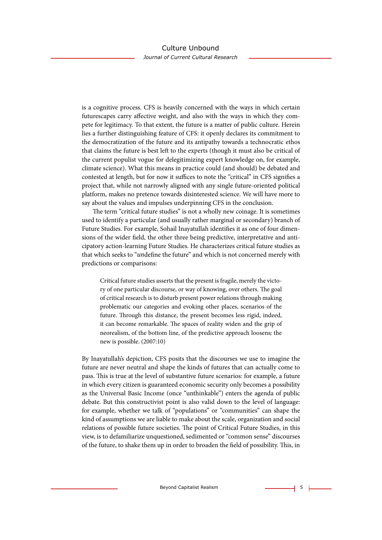is a cognitive process. CFS is heavily concerned with the ways in which certain futurescapes carry afective weight, and also with the ways in which they compete for legitimacy. To that extent, the future is a matter of public culture. Herein lies a further distinguishing feature of CFS: it openly declares its commitment to the democratization of the future and its antipathy towards a technocratic ethos that claims the future is best left to the experts (though it must also be critical of the current populist vogue for delegitimizing expert knowledge on, for example, climate science). What this means in practice could (and should) be debated and contested at length, but for now it suffices to note the "critical" in CFS signifies a project that, while not narrowly aligned with any single future-oriented political platform, makes no pretence towards disinterested science. We will have more to say about the values and impulses underpinning CFS in the conclusion.

The term "critical future studies" is not a wholly new coinage. It is sometimes used to identify a particular (and usually rather marginal or secondary) branch of Future Studies. For example, Sohail Inayatullah identifes it as one of four dimensions of the wider feld, the other three being predictive, interpretative and anticipatory action-learning Future Studies. He characterizes critical future studies as that which seeks to "*un*defne the future" and which is not concerned merely with predictions or comparisons:

Critical future studies asserts that the present is fragile, merely the victory of one particular discourse, or way of knowing, over others. The goal of critical research is to disturb present power relations through making problematic our categories and evoking other places, scenarios of the future. Through this distance, the present becomes less rigid, indeed, it can become remarkable. The spaces of reality widen and the grip of neorealism, of the bottom line, of the predictive approach loosens; the new is possible. (2007:10)

By Inayatullah's depiction, CFS posits that the discourses we use to imagine the future are never neutral and shape the kinds of futures that can actually come to pass. This is true at the level of substantive future scenarios: for example, a future in which every citizen is guaranteed economic security only becomes a possibility as the Universal Basic Income (once "unthinkable") enters the agenda of public debate. But this constructivist point is also valid down to the level of language: for example, whether we talk of "populations" or "communities" can shape the kind of assumptions we are liable to make about the scale, organization and social relations of possible future societies. The point of Critical Future Studies, in this view, is to defamiliarize unquestioned, sedimented or "common sense" discourses of the future, to shake them up in order to broaden the field of possibility. This, in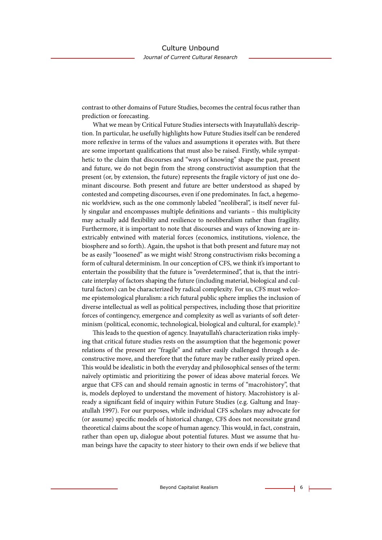contrast to other domains of Future Studies, becomes the central focus rather than prediction or forecasting.

What we mean by Critical Future Studies intersects with Inayatullah's description. In particular, he usefully highlights how Future Studies itself can be rendered more refexive in terms of the values and assumptions it operates with. But there are some important qualifcations that must also be raised. Firstly, while sympathetic to the claim that discourses and "ways of knowing" shape the past, present and future, we do not begin from the strong constructivist assumption that the present (or, by extension, the future) represents the fragile victory of just one dominant discourse. Both present and future are better understood as shaped by contested and competing discourses, even if one predominates. In fact, a hegemonic worldview, such as the one commonly labeled "neoliberal", is itself never fully singular and encompasses multiple defnitions and variants – this multiplicity may actually add fexibility and resilience to neoliberalism rather than fragility. Furthermore, it is important to note that discourses and ways of knowing are inextricably entwined with material forces (economics, institutions, violence, the biosphere and so forth). Again, the upshot is that both present and future may not be as easily "loosened" as we might wish! Strong constructivism risks becoming a form of cultural determinism. In our conception of CFS, we think it's important to entertain the possibility that the future is "overdetermined", that is, that the intricate interplay of factors shaping the future (including material, biological and cultural factors) can be characterized by radical complexity. For us, CFS must welcome epistemological pluralism: a rich futural public sphere implies the inclusion of diverse intellectual as well as political perspectives, including those that prioritize forces of contingency, emergence and complexity as well as variants of soft determinism (political, economic, technological, biological and cultural, for example).<sup>2</sup>

This leads to the question of agency. Inayatullah's characterization risks implying that critical future studies rests on the assumption that the hegemonic power relations of the present are "fragile" and rather easily challenged through a deconstructive move, and therefore that the future may be rather easily prized open. This would be idealistic in both the everyday and philosophical senses of the term: naïvely optimistic and prioritizing the power of ideas above material forces. We argue that CFS can and should remain agnostic in terms of "macrohistory", that is, models deployed to understand the movement of history. Macrohistory is already a signifcant feld of inquiry within Future Studies (e.g. Galtung and Inayatullah 1997). For our purposes, while individual CFS scholars may advocate for (or assume) specifc models of historical change, CFS does not necessitate grand theoretical claims about the scope of human agency. Tis would, in fact, constrain, rather than open up, dialogue about potential futures. Must we assume that human beings have the capacity to steer history to their own ends if we believe that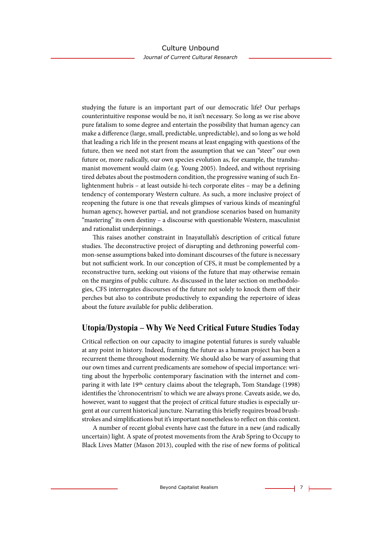# Culture Unbound

*Journal of Current Cultural Research*

studying the future is an important part of our democratic life? Our perhaps counterintuitive response would be no, it isn't necessary. So long as we rise above pure fatalism to some degree and entertain the possibility that human agency can make a diference (large, small, predictable, unpredictable), and so long as we hold that leading a rich life in the present means at least engaging with questions of the future, then we need not start from the assumption that we can "steer" our own future or, more radically, our own species evolution as, for example, the transhumanist movement would claim (e.g. Young 2005). Indeed, and without reprising tired debates about the postmodern condition, the progressive waning of such Enlightenment hubris – at least outside hi-tech corporate elites – may be a defning tendency of contemporary Western culture. As such, a more inclusive project of reopening the future is one that reveals glimpses of various kinds of meaningful human agency, however partial, and not grandiose scenarios based on humanity "mastering" its own destiny – a discourse with questionable Western, masculinist and rationalist underpinnings.

Tis raises another constraint in Inayatullah's description of critical future studies. The deconstructive project of disrupting and dethroning powerful common-sense assumptions baked into dominant discourses of the future is necessary but not sufficient work. In our conception of CFS, it must be complemented by a reconstructive turn, seeking out visions of the future that may otherwise remain on the margins of public culture. As discussed in the later section on methodologies, CFS interrogates discourses of the future not solely to knock them of their perches but also to contribute productively to expanding the repertoire of ideas about the future available for public deliberation.

# **Utopia/Dystopia – Why We Need Critical Future Studies Today**

Critical refection on our capacity to imagine potential futures is surely valuable at any point in history. Indeed, framing the future as a human project has been a recurrent theme throughout modernity. We should also be wary of assuming that our own times and current predicaments are somehow of special importance: writing about the hyperbolic contemporary fascination with the internet and comparing it with late 19th century claims about the telegraph, Tom Standage (1998) identifes the 'chronocentrism' to which we are always prone. Caveats aside, we do, however, want to suggest that the project of critical future studies is especially urgent at our current historical juncture. Narrating this briefy requires broad brushstrokes and simplifcations but it's important nonetheless to refect on this context.

A number of recent global events have cast the future in a new (and radically uncertain) light. A spate of protest movements from the Arab Spring to Occupy to Black Lives Matter (Mason 2013), coupled with the rise of new forms of political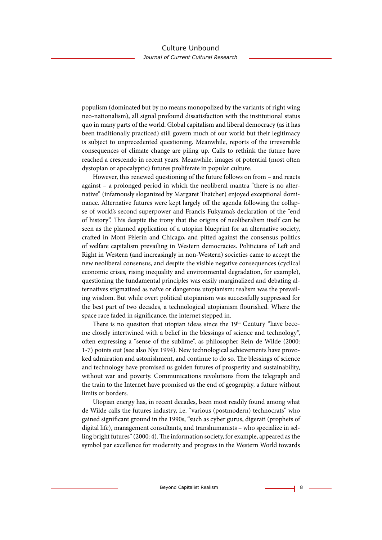populism (dominated but by no means monopolized by the variants of right wing neo-nationalism), all signal profound dissatisfaction with the institutional status quo in many parts of the world. Global capitalism and liberal democracy (as it has been traditionally practiced) still govern much of our world but their legitimacy is subject to unprecedented questioning. Meanwhile, reports of the irreversible consequences of climate change are piling up. Calls to rethink the future have reached a crescendo in recent years. Meanwhile, images of potential (most ofen dystopian or apocalyptic) futures proliferate in popular culture.

However, this renewed questioning of the future follows on from – and reacts against – a prolonged period in which the neoliberal mantra "there is no alternative" (infamously sloganized by Margaret Thatcher) enjoyed exceptional dominance. Alternative futures were kept largely off the agenda following the collapse of world's second superpower and Francis Fukyama's declaration of the "end of history". This despite the irony that the origins of neoliberalism itself can be seen as the planned application of a utopian blueprint for an alternative society, crafed in Mont Pèlerin and Chicago, and pitted against the consensus politics of welfare capitalism prevailing in Western democracies. Politicians of Left and Right in Western (and increasingly in non-Western) societies came to accept the new neoliberal consensus, and despite the visible negative consequences (cyclical economic crises, rising inequality and environmental degradation, for example), questioning the fundamental principles was easily marginalized and debating alternatives stigmatized as naïve or dangerous utopianism: realism was the prevailing wisdom. But while overt political utopianism was successfully suppressed for the best part of two decades, a technological utopianism fourished. Where the space race faded in signifcance, the internet stepped in.

There is no question that utopian ideas since the  $19<sup>th</sup>$  Century "have become closely intertwined with a belief in the blessings of science and technology", ofen expressing a "sense of the sublime", as philosopher Rein de Wilde (2000: 1-7) points out (see also Nye 1994). New technological achievements have provoked admiration and astonishment, and continue to do so. The blessings of science and technology have promised us golden futures of prosperity and sustainability, without war and poverty. Communications revolutions from the telegraph and the train to the Internet have promised us the end of geography, a future without limits or borders.

Utopian energy has, in recent decades, been most readily found among what de Wilde calls the futures industry, i.e. "various (postmodern) technocrats" who gained signifcant ground in the 1990s, "such as cyber gurus, digerati (prophets of digital life), management consultants, and transhumanists – who specialize in selling bright futures" (2000: 4). The information society, for example, appeared as the symbol par excellence for modernity and progress in the Western World towards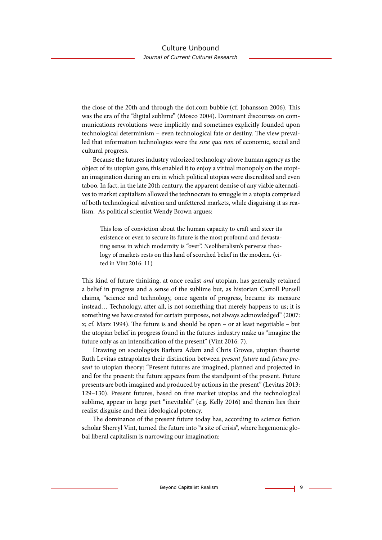the close of the 20th and through the dot.com bubble (cf. Johansson 2006). This was the era of the "digital sublime" (Mosco 2004). Dominant discourses on communications revolutions were implicitly and sometimes explicitly founded upon technological determinism – even technological fate or destiny. The view prevailed that information technologies were the *sine qua non* of economic, social and cultural progress.

Because the futures industry valorized technology above human agency as the object of its utopian gaze, this enabled it to enjoy a virtual monopoly on the utopian imagination during an era in which political utopias were discredited and even taboo. In fact, in the late 20th century, the apparent demise of any viable alternatives to market capitalism allowed the technocrats to smuggle in a utopia comprised of both technological salvation and unfettered markets, while disguising it as realism. As political scientist Wendy Brown argues:

This loss of conviction about the human capacity to craft and steer its existence or even to secure its future is the most profound and devastating sense in which modernity is "over". Neoliberalism's perverse theology of markets rests on this land of scorched belief in the modern. (cited in Vint 2016: 11)

Tis kind of future thinking, at once realist *and* utopian, has generally retained a belief in progress and a sense of the sublime but, as historian Carroll Pursell claims, "science and technology, once agents of progress, became its measure instead… Technology, afer all, is not something that merely happens to us; it is something we have created for certain purposes, not always acknowledged" (2007:  $x$ ; cf. Marx 1994). The future is and should be open – or at least negotiable – but the utopian belief in progress found in the futures industry make us "imagine the future only as an intensifcation of the present" (Vint 2016: 7).

Drawing on sociologists Barbara Adam and Chris Groves, utopian theorist Ruth Levitas extrapolates their distinction between *present future* and *future present* to utopian theory: "Present futures are imagined, planned and projected in and for the present: the future appears from the standpoint of the present. Future presents are both imagined and produced by actions in the present" (Levitas 2013: 129–130). Present futures, based on free market utopias and the technological sublime, appear in large part "inevitable" (e.g. Kelly 2016) and therein lies their realist disguise and their ideological potency.

The dominance of the present future today has, according to science fiction scholar Sherryl Vint, turned the future into "a site of crisis", where hegemonic global liberal capitalism is narrowing our imagination: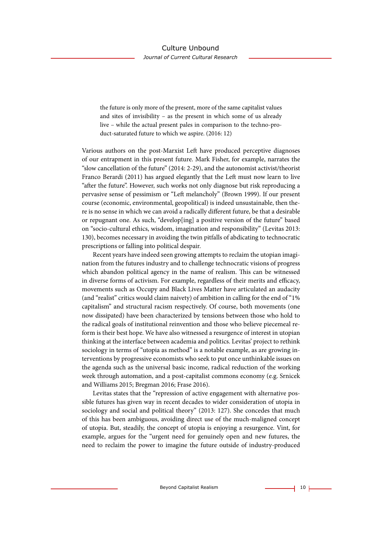the future is only more of the present, more of the same capitalist values and sites of invisibility – as the present in which some of us already live – while the actual present pales in comparison to the techno-product-saturated future to which we aspire. (2016: 12)

Various authors on the post-Marxist Left have produced perceptive diagnoses of our entrapment in this present future. Mark Fisher, for example, narrates the "slow cancellation of the future" (2014: 2-29), and the autonomist activist/theorist Franco Berardi (2011) has argued elegantly that the Lef must now learn to live "after the future". However, such works not only diagnose but risk reproducing a pervasive sense of pessimism or "Left melancholy" (Brown 1999). If our present course (economic, environmental, geopolitical) is indeed unsustainable, then there is no sense in which we can avoid a radically diferent future, be that a desirable or repugnant one. As such, "develop[ing] a positive version of the future" based on "socio-cultural ethics, wisdom, imagination and responsibility" (Levitas 2013: 130), becomes necessary in avoiding the twin pitfalls of abdicating to technocratic prescriptions or falling into political despair.

Recent years have indeed seen growing attempts to reclaim the utopian imagination from the futures industry and to challenge technocratic visions of progress which abandon political agency in the name of realism. This can be witnessed in diverse forms of activism. For example, regardless of their merits and efficacy, movements such as Occupy and Black Lives Matter have articulated an audacity (and "realist" critics would claim naivety) of ambition in calling for the end of "1% capitalism" and structural racism respectively. Of course, both movements (one now dissipated) have been characterized by tensions between those who hold to the radical goals of institutional reinvention and those who believe piecemeal reform is their best hope. We have also witnessed a resurgence of interest in utopian thinking at the interface between academia and politics. Levitas' project to rethink sociology in terms of "utopia as method" is a notable example, as are growing interventions by progressive economists who seek to put once unthinkable issues on the agenda such as the universal basic income, radical reduction of the working week through automation, and a post-capitalist commons economy (e.g. Srnicek and Williams 2015; Bregman 2016; Frase 2016).

Levitas states that the "repression of active engagement with alternative possible futures has given way in recent decades to wider consideration of utopia in sociology and social and political theory" (2013: 127). She concedes that much of this has been ambiguous, avoiding direct use of the much-maligned concept of utopia. But, steadily, the concept of utopia is enjoying a resurgence. Vint, for example, argues for the "urgent need for genuinely open and new futures, the need to reclaim the power to imagine the future outside of industry-produced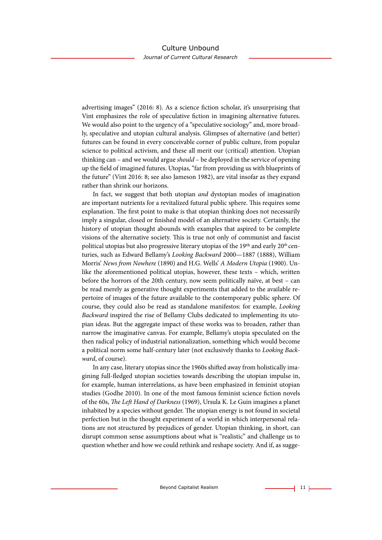advertising images" (2016: 8). As a science fction scholar, it's unsurprising that Vint emphasizes the role of speculative fction in imagining alternative futures. We would also point to the urgency of a "speculative sociology" and, more broadly, speculative and utopian cultural analysis. Glimpses of alternative (and better) futures can be found in every conceivable corner of public culture, from popular science to political activism, and these all merit our (critical) attention. Utopian thinking can – and we would argue *should* – be deployed in the service of opening up the feld of imagined futures. Utopias, "far from providing us with blueprints of the future" (Vint 2016: 8; see also Jameson 1982), are vital insofar as they expand rather than shrink our horizons.

In fact, we suggest that both utopian *and* dystopian modes of imagination are important nutrients for a revitalized futural public sphere. This requires some explanation. The first point to make is that utopian thinking does not necessarily imply a singular, closed or fnished model of an alternative society. Certainly, the history of utopian thought abounds with examples that aspired to be complete visions of the alternative society. This is true not only of communist and fascist political utopias but also progressive literary utopias of the 19<sup>th</sup> and early 20<sup>th</sup> centuries, such as Edward Bellamy's *Looking Backward* 2000—1887 (1888), William Morris' *News from Nowhere* (1890) and H.G. Wells' *A Modern Utopia* (1900). Unlike the aforementioned political utopias, however, these texts – which, written before the horrors of the 20th century, now seem politically naïve, at best – can be read merely as generative thought experiments that added to the available repertoire of images of the future available to the contemporary public sphere. Of course, they could also be read as standalone manifestos: for example, *Looking Backward* inspired the rise of Bellamy Clubs dedicated to implementing its utopian ideas. But the aggregate impact of these works was to broaden, rather than narrow the imaginative canvas. For example, Bellamy's utopia speculated on the then radical policy of industrial nationalization, something which would become a political norm some half-century later (not exclusively thanks to *Looking Backward*, of course).

In any case, literary utopias since the 1960s shifed away from holistically imagining full-fedged utopian societies towards describing the utopian impulse in, for example, human interrelations, as have been emphasized in feminist utopian studies (Godhe 2010). In one of the most famous feminist science fction novels of the 60s, T*e Le*f *Hand of Darkness* (1969), Ursula K. Le Guin imagines a planet inhabited by a species without gender. The utopian energy is not found in societal perfection but in the thought experiment of a world in which interpersonal relations are not structured by prejudices of gender. Utopian thinking, in short, can disrupt common sense assumptions about what is "realistic" and challenge us to question whether and how we could rethink and reshape society. And if, as sugge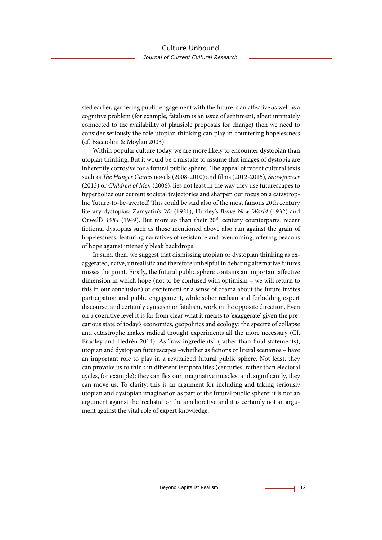sted earlier, garnering public engagement with the future is an afective as well as a cognitive problem (for example, fatalism is an issue of sentiment, albeit intimately connected to the availability of plausible proposals for change) then we need to consider seriously the role utopian thinking can play in countering hopelessness (cf. Bacciolini & Moylan 2003).

Within popular culture today, we are more likely to encounter dystopian than utopian thinking. But it would be a mistake to assume that images of dystopia are inherently corrosive for a futural public sphere. The appeal of recent cultural texts such as T*e Hunger Games* novels (2008-2010) and flms (2012-2015), *Snowpiercer* (2013) or *Children of Men* (2006), lies not least in the way they use futurescapes to hyperbolize our current societal trajectories and sharpen our focus on a catastrophic 'future-to-be-averted'. This could be said also of the most famous 20th century literary dystopias: Zamyatin's *We* (1921), Huxley's *Brave New World* (1932) and Orwell's 1984 (1949). But more so than their 20<sup>th</sup> century counterparts, recent fctional dystopias such as those mentioned above also run against the grain of hopelessness, featuring narratives of resistance and overcoming, ofering beacons of hope against intensely bleak backdrops.

In sum, then, we suggest that dismissing utopian or dystopian thinking as exaggerated, naïve, unrealistic and therefore unhelpful in debating alternative futures misses the point. Firstly, the futural public sphere contains an important afective dimension in which hope (not to be confused with optimism – we will return to this in our conclusion) or excitement or a sense of drama about the future invites participation and public engagement, while sober realism and forbidding expert discourse, and certainly cynicism or fatalism, work in the opposite direction. Even on a cognitive level it is far from clear what it means to 'exaggerate' given the precarious state of today's economics, geopolitics and ecology: the spectre of collapse and catastrophe makes radical thought experiments all the more necessary (Cf. Bradley and Hedrén 2014). As "raw ingredients" (rather than fnal statements), utopian and dystopian futurescapes –whether as fctions or literal scenarios – have an important role to play in a revitalized futural public sphere. Not least, they can provoke us to think in diferent temporalities (centuries, rather than electoral cycles, for example); they can flex our imaginative muscles; and, significantly, they can move us. To clarify, this is an argument for including and taking seriously utopian and dystopian imagination as part of the futural public sphere: it is not an argument against the 'realistic' or the ameliorative and it is certainly not an argument against the vital role of expert knowledge.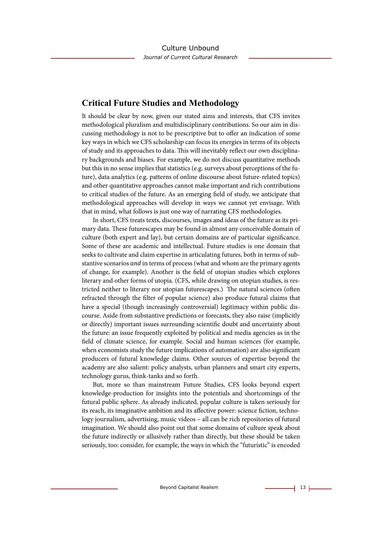# **Critical Future Studies and Methodology**

It should be clear by now, given our stated aims and interests, that CFS invites methodological pluralism and multidisciplinary contributions. So our aim in discussing methodology is not to be prescriptive but to ofer an indication of some key ways in which we CFS scholarship can focus its energies in terms of its objects of study and its approaches to data. This will inevitably reflect our own disciplinary backgrounds and biases. For example, we do not discuss quantitative methods but this in no sense implies that statistics (e.g. surveys about perceptions of the future), data analytics (e.g. patterns of online discourse about future-related topics) and other quantitative approaches cannot make important and rich contributions to critical studies of the future. As an emerging feld of study, we anticipate that methodological approaches will develop in ways we cannot yet envisage. With that in mind, what follows is just one way of narrating CFS methodologies.

In short, CFS treats texts, discourses, images and ideas of the future as its primary data. These futurescapes may be found in almost any conceivable domain of culture (both expert and lay), but certain domains are of particular signifcance. Some of these are academic and intellectual. Future studies is one domain that seeks to cultivate and claim expertise in articulating futures, both in terms of substantive scenarios *and* in terms of process (what and whom are the primary agents of change, for example). Another is the feld of utopian studies which explores literary and other forms of utopia. (CFS, while drawing on utopian studies, is restricted neither to literary nor utopian futurescapes.) The natural sciences (often refracted through the flter of popular science) also produce futural claims that have a special (though increasingly controversial) legitimacy within public discourse. Aside from substantive predictions or forecasts, they also raise (implicitly or directly) important issues surrounding scientifc doubt and uncertainty about the future: an issue frequently exploited by political and media agencies as in the feld of climate science, for example. Social and human sciences (for example, when economists study the future implications of automation) are also signifcant producers of futural knowledge claims. Other sources of expertise beyond the academy are also salient: policy analysts, urban planners and smart city experts, technology gurus, think-tanks and so forth.

But, more so than mainstream Future Studies, CFS looks beyond expert knowledge-production for insights into the potentials and shortcomings of the futural public sphere. As already indicated, popular culture is taken seriously for its reach, its imaginative ambition and its afective power: science fction, technology journalism, advertising, music videos – all can be rich repositories of futural imagination. We should also point out that some domains of culture speak about the future indirectly or allusively rather than directly, but these should be taken seriously, too: consider, for example, the ways in which the "futuristic" is encoded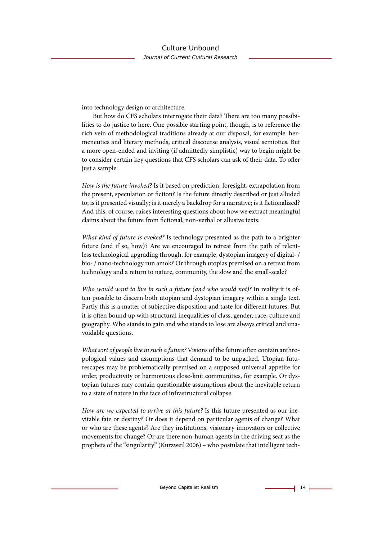into technology design or architecture.

But how do CFS scholars interrogate their data? There are too many possibilities to do justice to here. One possible starting point, though, is to reference the rich vein of methodological traditions already at our disposal, for example: hermeneutics and literary methods, critical discourse analysis, visual semiotics. But a more open-ended and inviting (if admittedly simplistic) way to begin might be to consider certain key questions that CFS scholars can ask of their data. To ofer just a sample:

*How is the future invoked?* Is it based on prediction, foresight, extrapolation from the present, speculation or fiction? Is the future directly described or just alluded to; is it presented visually; is it merely a backdrop for a narrative; is it fctionalized? And this, of course, raises interesting questions about how we extract meaningful claims about the future from fctional, non-verbal or allusive texts.

*What kind of future is evoked?* Is technology presented as the path to a brighter future (and if so, how)? Are we encouraged to retreat from the path of relentless technological upgrading through, for example, dystopian imagery of digital- / bio- / nano-technology run amok? Or through utopias premised on a retreat from technology and a return to nature, community, the slow and the small-scale?

*Who would want to live in such a future (and who would not)?* In reality it is often possible to discern both utopian and dystopian imagery within a single text. Partly this is a matter of subjective disposition and taste for diferent futures. But it is often bound up with structural inequalities of class, gender, race, culture and geography. Who stands to gain and who stands to lose are always critical and unavoidable questions.

*What sort of people live in such a future?* Visions of the future often contain anthropological values and assumptions that demand to be unpacked. Utopian futurescapes may be problematically premised on a supposed universal appetite for order, productivity or harmonious close-knit communities, for example. Or dystopian futures may contain questionable assumptions about the inevitable return to a state of nature in the face of infrastructural collapse.

*How are we expected to arrive at this future?* Is this future presented as our inevitable fate or destiny? Or does it depend on particular agents of change? What or who are these agents? Are they institutions, visionary innovators or collective movements for change? Or are there non-human agents in the driving seat as the prophets of the "singularity" (Kurzweil 2006) – who postulate that intelligent tech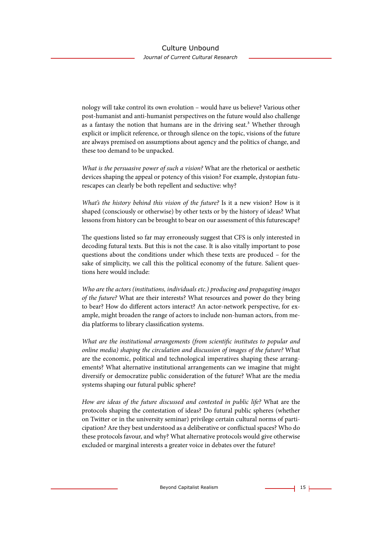nology will take control its own evolution – would have us believe? Various other post-humanist and anti-humanist perspectives on the future would also challenge as a fantasy the notion that humans are in the driving seat.3 Whether through explicit or implicit reference, or through silence on the topic, visions of the future are always premised on assumptions about agency and the politics of change, and these too demand to be unpacked.

*What is the persuasive power of such a vision?* What are the rhetorical or aesthetic devices shaping the appeal or potency of this vision? For example, dystopian futurescapes can clearly be both repellent and seductive: why?

*What's the history behind this vision of the future?* Is it a new vision? How is it shaped (consciously or otherwise) by other texts or by the history of ideas? What lessons from history can be brought to bear on our assessment of this futurescape?

The questions listed so far may erroneously suggest that CFS is only interested in decoding futural texts. But this is not the case. It is also vitally important to pose questions about the conditions under which these texts are produced – for the sake of simplicity, we call this the political economy of the future. Salient questions here would include:

*Who are the actors (institutions, individuals etc.) producing and propagating images of the future?* What are their interests? What resources and power do they bring to bear? How do diferent actors interact? An actor-network perspective, for example, might broaden the range of actors to include non-human actors, from media platforms to library classifcation systems.

*What are the institutional arrangements (from scienti*f*c institutes to popular and online media) shaping the circulation and discussion of images of the future?* What are the economic, political and technological imperatives shaping these arrangements? What alternative institutional arrangements can we imagine that might diversify or democratize public consideration of the future? What are the media systems shaping our futural public sphere?

*How are ideas of the future discussed and contested in public life?* What are the protocols shaping the contestation of ideas? Do futural public spheres (whether on Twitter or in the university seminar) privilege certain cultural norms of participation? Are they best understood as a deliberative or confictual spaces? Who do these protocols favour, and why? What alternative protocols would give otherwise excluded or marginal interests a greater voice in debates over the future?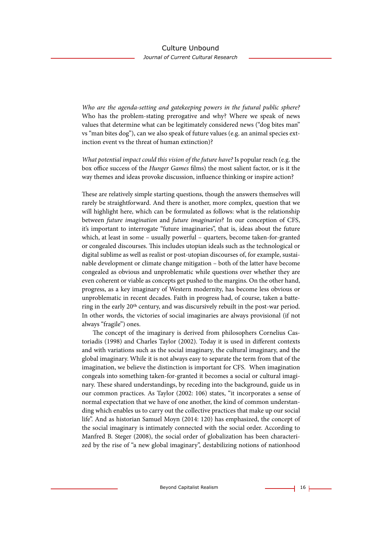*Who are the agenda-setting and gatekeeping powers in the futural public sphere?* Who has the problem-stating prerogative and why? Where we speak of news values that determine what can be legitimately considered news ("dog bites man" vs "man bites dog"), can we also speak of future values (e.g. an animal species extinction event vs the threat of human extinction)?

*What potential impact could this vision of the future have?* Is popular reach (e.g. the box office success of the *Hunger Games* films) the most salient factor, or is it the way themes and ideas provoke discussion, infuence thinking or inspire action?

These are relatively simple starting questions, though the answers themselves will rarely be straightforward. And there is another, more complex, question that we will highlight here, which can be formulated as follows: what is the relationship between *future imagination* and *future imaginaries*? In our conception of CFS, it's important to interrogate "future imaginaries", that is, ideas about the future which, at least in some – usually powerful – quarters, become taken-for-granted or congealed discourses. This includes utopian ideals such as the technological or digital sublime as well as realist or post-utopian discourses of, for example, sustainable development or climate change mitigation – both of the latter have become congealed as obvious and unproblematic while questions over whether they are even coherent or viable as concepts get pushed to the margins. On the other hand, progress, as a key imaginary of Western modernity, has become less obvious or unproblematic in recent decades. Faith in progress had, of course, taken a battering in the early 20th century, and was discursively rebuilt in the post-war period. In other words, the victories of social imaginaries are always provisional (if not always "fragile") ones.

The concept of the imaginary is derived from philosophers Cornelius Castoriadis (1998) and Charles Taylor (2002). Today it is used in diferent contexts and with variations such as the social imaginary, the cultural imaginary, and the global imaginary. While it is not always easy to separate the term from that of the imagination, we believe the distinction is important for CFS. When imagination congeals into something taken-for-granted it becomes a social or cultural imaginary. These shared understandings, by receding into the background, guide us in our common practices. As Taylor (2002: 106) states, "it incorporates a sense of normal expectation that we have of one another, the kind of common understanding which enables us to carry out the collective practices that make up our social life". And as historian Samuel Moyn (2014: 120) has emphasized, the concept of the social imaginary is intimately connected with the social order. According to Manfred B. Steger (2008), the social order of globalization has been characterized by the rise of "a new global imaginary", destabilizing notions of nationhood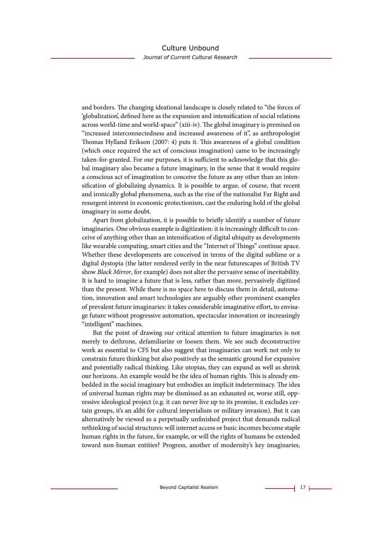and borders. The changing ideational landscape is closely related to "the forces of 'globalization', defned here as the expansion and intensifcation of social relations across world-time and world-space" (xiii-iv). The global imaginary is premised on "increased interconnectedness and increased awareness of it", as anthropologist Tomas Hylland Erikson (2007: 4) puts it. Tis awareness of a global condition (which once required the act of conscious imagination) came to be increasingly taken-for-granted. For our purposes, it is sufficient to acknowledge that this global imaginary also became a future imaginary, in the sense that it would require a conscious act of imagination to conceive the future as any other than an intensifcation of globalizing dynamics. It is possible to argue, of course, that recent and ironically global phenomena, such as the rise of the nationalist Far Right and resurgent interest in economic protectionism, cast the enduring hold of the global imaginary in some doubt.

Apart from globalization, it is possible to briefy identify a number of future imaginaries. One obvious example is digitization: it is increasingly difficult to conceive of anything other than an intensifcation of digital ubiquity as developments like wearable computing, smart cities and the "Internet of Things" continue apace. Whether these developments are conceived in terms of the digital sublime or a digital dystopia (the latter rendered eerily in the near futurescapes of British TV show *Black Mirror*, for example) does not alter the pervasive sense of inevitability. It is hard to imagine a future that is less, rather than more, pervasively digitized than the present. While there is no space here to discuss them in detail, automation, innovation and smart technologies are arguably other prominent examples of prevalent future imaginaries: it takes considerable imaginative efort, to envisage future without progressive automation, spectacular innovation or increasingly "intelligent" machines.

But the point of drawing our critical attention to future imaginaries is not merely to dethrone, defamiliarize or loosen them. We see such deconstructive work as essential to CFS but also suggest that imaginaries can work not only to constrain future thinking but also positively as the semantic ground for expansive and potentially radical thinking. Like utopias, they can expand as well as shrink our horizons. An example would be the idea of human rights. This is already embedded in the social imaginary but embodies an implicit indeterminacy. The idea of universal human rights may be dismissed as an exhausted or, worse still, oppressive ideological project (e.g. it can never live up to its promise, it excludes certain groups, it's an alibi for cultural imperialism or military invasion). But it can alternatively be viewed as a perpetually unfnished project that demands radical rethinking of social structures: will internet access or basic incomes become staple human rights in the future, for example, or will the rights of humans be extended toward non-human entities? Progress, another of modernity's key imaginaries,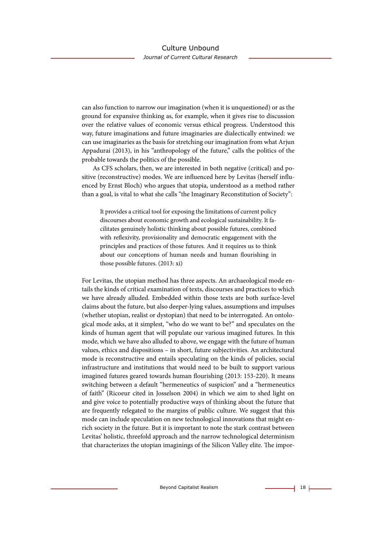can also function to narrow our imagination (when it is unquestioned) or as the ground for expansive thinking as, for example, when it gives rise to discussion over the relative values of economic versus ethical progress. Understood this way, future imaginations and future imaginaries are dialectically entwined: we can use imaginaries as the basis for stretching our imagination from what Arjun Appadurai (2013), in his "anthropology of the future," calls the politics of the probable towards the politics of the possible.

As CFS scholars, then, we are interested in both negative (critical) and positive (reconstructive) modes. We are infuenced here by Levitas (herself infuenced by Ernst Bloch) who argues that utopia, understood as a method rather than a goal, is vital to what she calls "the Imaginary Reconstitution of Society":

It provides a critical tool for exposing the limitations of current policy discourses about economic growth and ecological sustainability. It facilitates genuinely holistic thinking about possible futures, combined with refexivity, provisionality and democratic engagement with the principles and practices of those futures. And it requires us to think about our conceptions of human needs and human fourishing in those possible futures. (2013: xi)

For Levitas, the utopian method has three aspects. An archaeological mode entails the kinds of critical examination of texts, discourses and practices to which we have already alluded. Embedded within those texts are both surface-level claims about the future, but also deeper-lying values, assumptions and impulses (whether utopian, realist or dystopian) that need to be interrogated. An ontological mode asks, at it simplest, "who do we want to be?" and speculates on the kinds of human agent that will populate our various imagined futures. In this mode, which we have also alluded to above, we engage with the future of human values, ethics and dispositions – in short, future subjectivities. An architectural mode is reconstructive and entails speculating on the kinds of policies, social infrastructure and institutions that would need to be built to support various imagined futures geared towards human flourishing (2013: 153-220). It means switching between a default "hermeneutics of suspicion" and a "hermeneutics of faith" (Ricoeur cited in Josselson 2004) in which we aim to shed light on and give voice to potentially productive ways of thinking about the future that are frequently relegated to the margins of public culture. We suggest that this mode can include speculation on new technological innovations that might enrich society in the future. But it is important to note the stark contrast between Levitas' holistic, threefold approach and the narrow technological determinism that characterizes the utopian imaginings of the Silicon Valley elite. The impor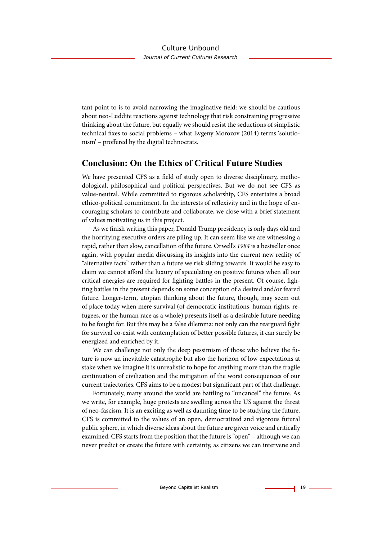tant point to is to avoid narrowing the imaginative feld: we should be cautious about neo-Luddite reactions against technology that risk constraining progressive thinking about the future, but equally we should resist the seductions of simplistic technical fxes to social problems – what Evgeny Morozov (2014) terms 'solutionism' – profered by the digital technocrats.

# **Conclusion: On the Ethics of Critical Future Studies**

We have presented CFS as a feld of study open to diverse disciplinary, methodological, philosophical and political perspectives. But we do not see CFS as value-neutral. While committed to rigorous scholarship, CFS entertains a broad ethico-political commitment. In the interests of refexivity and in the hope of encouraging scholars to contribute and collaborate, we close with a brief statement of values motivating us in this project.

As we fnish writing this paper, Donald Trump presidency is only days old and the horrifying executive orders are piling up. It can seem like we are witnessing a rapid, rather than slow, cancellation of the future. Orwell's *1984* is a bestseller once again, with popular media discussing its insights into the current new reality of "alternative facts" rather than a future we risk sliding towards. It would be easy to claim we cannot aford the luxury of speculating on positive futures when all our critical energies are required for fghting battles in the present. Of course, fghting battles in the present depends on some conception of a desired and/or feared future. Longer-term, utopian thinking about the future, though, may seem out of place today when mere survival (of democratic institutions, human rights, refugees, or the human race as a whole) presents itself as a desirable future needing to be fought for. But this may be a false dilemma: not only can the rearguard fght for survival co-exist with contemplation of better possible futures, it can surely be energized and enriched by it.

We can challenge not only the deep pessimism of those who believe the future is now an inevitable catastrophe but also the horizon of low expectations at stake when we imagine it is unrealistic to hope for anything more than the fragile continuation of civilization and the mitigation of the worst consequences of our current trajectories. CFS aims to be a modest but signifcant part of that challenge.

Fortunately, many around the world are battling to "uncancel" the future. As we write, for example, huge protests are swelling across the US against the threat of neo-fascism. It is an exciting as well as daunting time to be studying the future. CFS is committed to the values of an open, democratized and vigorous futural public sphere, in which diverse ideas about the future are given voice and critically examined. CFS starts from the position that the future is "open" – although we can never predict or create the future with certainty, as citizens we can intervene and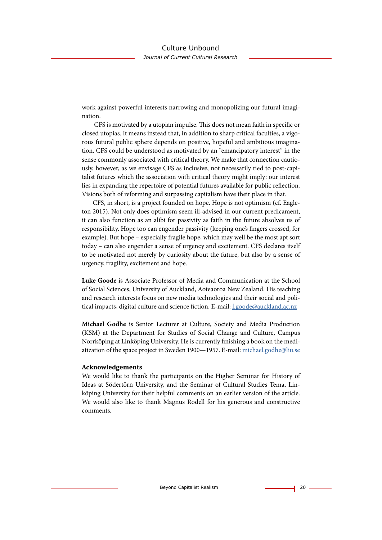work against powerful interests narrowing and monopolizing our futural imagination.

CFS is motivated by a utopian impulse. This does not mean faith in specific or closed utopias. It means instead that, in addition to sharp critical faculties, a vigorous futural public sphere depends on positive, hopeful and ambitious imagination. CFS could be understood as motivated by an "emancipatory interest" in the sense commonly associated with critical theory. We make that connection cautiously, however, as we envisage CFS as inclusive, not necessarily tied to post-capitalist futures which the association with critical theory might imply: our interest lies in expanding the repertoire of potential futures available for public refection. Visions both of reforming and surpassing capitalism have their place in that.

CFS, in short, is a project founded on hope. Hope is not optimism (cf. Eagleton 2015). Not only does optimism seem ill-advised in our current predicament, it can also function as an alibi for passivity as faith in the future absolves us of responsibility. Hope too can engender passivity (keeping one's fngers crossed, for example). But hope – especially fragile hope, which may well be the most apt sort today – can also engender a sense of urgency and excitement. CFS declares itself to be motivated not merely by curiosity about the future, but also by a sense of urgency, fragility, excitement and hope.

**Luke Goode** is Associate Professor of Media and Communication at the School of Social Sciences, University of Auckland, Aoteaoroa New Zealand. His teaching and research interests focus on new media technologies and their social and political impacts, digital culture and science fction. E-mail: [l.goode@auckland.ac.nz](mailto:l.goode%40auckland.ac.nz%20?subject=)

**Michael Godhe** is Senior Lecturer at Culture, Society and Media Production (KSM) at the Department for Studies of Social Change and Culture, Campus Norrköping at Linköping University. He is currently fnishing a book on the mediatization of the space project in Sweden 1900—1957. E-mail: [michael.godhe@liu.se](mailto:michael.godhe%40liu.se%20?subject=) 

#### **Acknowledgements**

We would like to thank the participants on the Higher Seminar for History of Ideas at Södertörn University, and the Seminar of Cultural Studies Tema, Linköping University for their helpful comments on an earlier version of the article. We would also like to thank Magnus Rodell for his generous and constructive comments.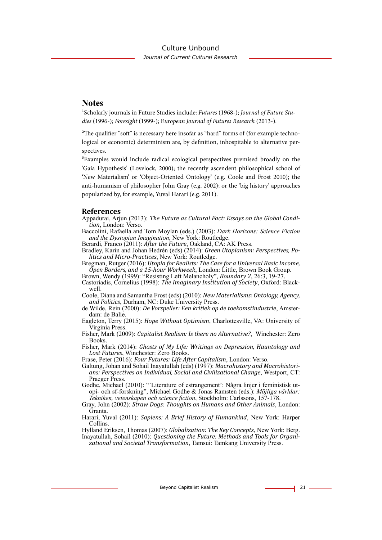#### Culture Unbound

*Journal of Current Cultural Research*

### **Notes**

1Scholarly journals in Future Studies include: *Futures* (1968-); *Journal of Future Studies* (1996-); *Foresight* (1999-); E*uropean Journal of Futures Research* (2013-).

 $2$ The qualifier "soft" is necessary here insofar as "hard" forms of (for example technological or economic) determinism are, by defnition, inhospitable to alternative perspectives.

<sup>3</sup>Examples would include radical ecological perspectives premised broadly on the 'Gaia Hypothesis' (Lovelock, 2000); the recently ascendent philosophical school of 'New Materialism' or 'Object-Oriented Ontology' (e.g. Coole and Frost 2010); the anti-humanism of philosopher John Gray (e.g. 2002); or the 'big history' approaches popularized by, for example, Yuval Harari (e.g. 2011).

#### **References**

Appadurai, Arjun (2013): *The Future as Cultural Fact: Essays on the Global Condition*, London: Verso.

Baccolini, Rafaella and Tom Moylan (eds.) (2003): *Dark Horizons: Science Fiction and the Dystopian Imagination*, New York: Routledge.

Berardi, Franco (2011): *After the Future*, Oakland, CA: AK Press.

Bradley, Karin and Johan Hedrén (eds) (2014): *Green Utopianism: Perspectives, Politics and Micro-Practices*, New York: Routledge.

Bregman, Rutger (2016): *Utopia for Realists: The Case for a Universal Basic Income, Open Borders, and a 15-hour Workweek*, London: Little, Brown Book Group.

Brown, Wendy (1999): "Resisting Left Melancholy", *Boundary 2*, 26:3, 19-27.

Castoriadis, Cornelius (1998): *The Imaginary Institution of Society*, Oxford: Blackwell.

Coole, Diana and Samantha Frost (eds) (2010): *New Materialisms: Ontology, Agency, and Politics*, Durham, NC: Duke University Press.

- de Wilde, Rein (2000): *De Vorspeller: Een kritiek op de toekomstindustrie*, Amsterdam: de Balie.
- Eagleton, Terry (2015): *Hope Without Optimism*, Charlottesville, VA: University of Virginia Press.
- Fisher, Mark (2009): *Capitalist Realism: Is there no Alternative?*, Winchester: Zero Books.
- Fisher, Mark (2014): *Ghosts of My Life: Writings on Depression, Hauntology and Lost Futures*, Winchester: Zero Books.

Frase, Peter (2016): *Four Futures: Life After Capitalism*, London: Verso.

Galtung, Johan and Sohail Inayatullah (eds) (1997): *Macrohistory and Macrohistorians: Perspectives on Individual, Social and Civilizational Change*, Westport, CT: Praeger Press.<br>Godhe, Michael (2010): "Literature of estrangement': Några linjer i feministisk ut-

Godhe, Michael (2010): "'Literature of estrangement': Några linjer i feministisk ut- opi- och sf-forskning", Michael Godhe & Jonas Ramsten (eds.): *Möjliga världar: Tekniken, vetenskapen och science fiction, Stockholm: Carlssons, 157-178.* 

- Gray, John (2002): *Straw Dogs: Thoughts on Humans and Other Animals*, London: Granta.
- Harari, Yuval (2011): *Sapiens: A Brief History of Humankind*, New York: Harper Collins.

Hylland Eriksen, Thomas (2007): *Globalization: The Key Concepts*, New York: Berg.

Inayatullah, Sohail (2010): *Questioning the Future: Methods and Tools for Organi- zational and Societal Transformation*, Tamsui: Tamkang University Press.